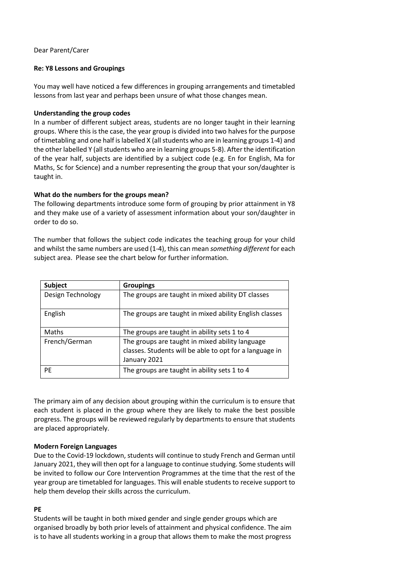## Dear Parent/Carer

# **Re: Y8 Lessons and Groupings**

You may well have noticed a few differences in grouping arrangements and timetabled lessons from last year and perhaps been unsure of what those changes mean.

# **Understanding the group codes**

In a number of different subject areas, students are no longer taught in their learning groups. Where this is the case, the year group is divided into two halves for the purpose of timetabling and one half is labelled X (all students who are in learning groups 1-4) and the other labelled Y (all students who are in learning groups 5-8). After the identification of the year half, subjects are identified by a subject code (e.g. En for English, Ma for Maths, Sc for Science) and a number representing the group that your son/daughter is taught in.

# **What do the numbers for the groups mean?**

The following departments introduce some form of grouping by prior attainment in Y8 and they make use of a variety of assessment information about your son/daughter in order to do so.

The number that follows the subject code indicates the teaching group for your child and whilst the same numbers are used (1-4), this can mean *something different* for each subject area. Please see the chart below for further information.

| <b>Subject</b>    | <b>Groupings</b>                                        |
|-------------------|---------------------------------------------------------|
| Design Technology | The groups are taught in mixed ability DT classes       |
| English           | The groups are taught in mixed ability English classes  |
| Maths             | The groups are taught in ability sets 1 to 4            |
| French/German     | The groups are taught in mixed ability language         |
|                   | classes. Students will be able to opt for a language in |
|                   | January 2021                                            |
| PE                | The groups are taught in ability sets 1 to 4            |

The primary aim of any decision about grouping within the curriculum is to ensure that each student is placed in the group where they are likely to make the best possible progress. The groups will be reviewed regularly by departments to ensure that students are placed appropriately.

### **Modern Foreign Languages**

Due to the Covid-19 lockdown, students will continue to study French and German until January 2021, they will then opt for a language to continue studying. Some students will be invited to follow our Core Intervention Programmes at the time that the rest of the year group are timetabled for languages. This will enable students to receive support to help them develop their skills across the curriculum.

### **PE**

Students will be taught in both mixed gender and single gender groups which are organised broadly by both prior levels of attainment and physical confidence. The aim is to have all students working in a group that allows them to make the most progress